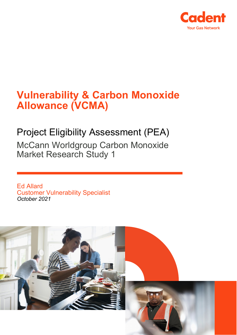

# **Vulnerability & Carbon Monoxide Allowance (VCMA)**

## Project Eligibility Assessment (PEA)

McCann Worldgroup Carbon Monoxide Market Research Study 1

Ed Allard Customer Vulnerability Specialist *October 2021*

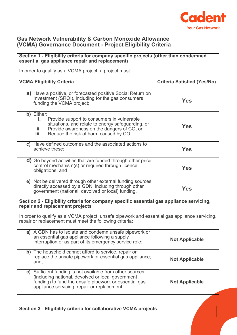

#### **Gas Network Vulnerability & Carbon Monoxide Allowance (VCMA) Governance Document - Project Eligibility Criteria**

## **Section 1 - Eligibility criteria for company specific projects (other than condemned essential gas appliance repair and replacement)** In order to qualify as a VCMA project, a project must: **VCMA Eligibility Criteria Criteria Satisfied (Yes/No) a)** Have a positive, or forecasted positive Social Return on Investment (SROI), including for the gas consumers funding the VCMA project; **Yes b)** Either: **i.** Provide support to consumers in vulnerable situations, and relate to energy safeguarding, or **ii.** Provide awareness on the dangers of CO, or<br>**iii.** Reduce the risk of harm caused by CO: Reduce the risk of harm caused by CO; **Yes c)** Have defined outcomes and the associated actions to achieve these; **Yes d)** Go beyond activities that are funded through other price control mechanism(s) or required through licence obligations; and **Yes e)** Not be delivered through other external funding sources directly accessed by a GDN, including through other government (national, devolved or local) funding. **Yes Section 2 - Eligibility criteria for company specific essential gas appliance servicing, repair and replacement projects** In order to qualify as a VCMA project, unsafe pipework and essential gas appliance servicing, repair or replacement must meet the following criteria: **a)** A GDN has to isolate and condemn unsafe pipework or an essential gas appliance following a supply an essential gas appliance ioliowing a supply<br>interruption or as part of its emergency service role;<br> $\blacksquare$ **b)** The household cannot afford to service, repair or replace the unsafe pipework or essential gas appliance; and; **Not Applicable c)** Sufficient funding is not available from other sources (including national, devolved or local government funding) to fund the unsafe pipework or essential gas appliance servicing, repair or replacement. **Not Applicable**

**Section 3 - Eligibility criteria for collaborative VCMA projects**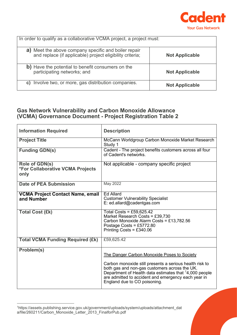

| In order to qualify as a collaborative VCMA project, a project must:                                              |                       |  |
|-------------------------------------------------------------------------------------------------------------------|-----------------------|--|
| a) Meet the above company specific and boiler repair<br>and replace (if applicable) project eligibility criteria; | <b>Not Applicable</b> |  |
| b) Have the potential to benefit consumers on the<br>participating networks; and                                  | <b>Not Applicable</b> |  |
| Involve two, or more, gas distribution companies.<br>C)                                                           | <b>Not Applicable</b> |  |

## **Gas Network Vulnerability and Carbon Monoxide Allowance (VCMA) Governance Document - Project Registration Table 2**

| <b>Information Required</b>                                | <b>Description</b>                                                                                                                                                                                                                                                                                                   |
|------------------------------------------------------------|----------------------------------------------------------------------------------------------------------------------------------------------------------------------------------------------------------------------------------------------------------------------------------------------------------------------|
| <b>Project Title</b>                                       | McCann Worldgroup Carbon Monoxide Market Research<br>Study 1                                                                                                                                                                                                                                                         |
| <b>Funding GDN(s)</b>                                      | Cadent - The project benefits customers across all four<br>of Cadent's networks.                                                                                                                                                                                                                                     |
| Role of GDN(s)<br>*For Collaborative VCMA Projects<br>only | Not applicable - company specific project                                                                                                                                                                                                                                                                            |
| <b>Date of PEA Submission</b>                              | <b>May 2022</b>                                                                                                                                                                                                                                                                                                      |
| <b>VCMA Project Contact Name, email</b><br>and Number      | <b>Ed Allard</b><br><b>Customer Vulnerability Specialist</b><br>E: ed.allard@cadentgas.com                                                                                                                                                                                                                           |
| <b>Total Cost (£k)</b>                                     | Total Costs = £59,625.42<br>Market Research Costs = $£39,730$<br>Carbon Monoxide Alarm Costs = £13,782.56<br>Postage Costs = £5772.80<br>Printing Costs = $£340.06$                                                                                                                                                  |
| <b>Total VCMA Funding Required (£k)</b>                    | £59,625.42                                                                                                                                                                                                                                                                                                           |
| Problem(s)                                                 | The Danger Carbon Monoxide Poses to Society<br>Carbon monoxide still presents a serious health risk to<br>both gas and non-gas customers across the UK.<br>Department of Health data estimates that <sup>1</sup> 4,000 people<br>are admitted to accident and emergency each year in<br>England due to CO poisoning. |

<span id="page-2-0"></span><sup>1</sup>https://assets.publishing.service.gov.uk/government/uploads/system/uploads/attachment\_dat a/file/260211/Carbon\_Monoxide\_Letter\_2013\_FinalforPub.pdf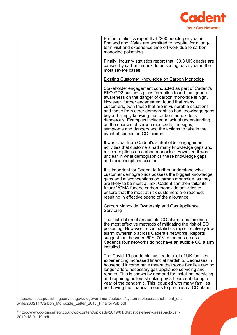

| Further statistics report that <sup>2</sup> 200 people per year in<br>England and Wales are admitted to hospital for a long-<br>term visit and experience time off work due to carbon<br>monoxide poisoning.                                                                                                                                                                                                                                                                                                                                                                              |
|-------------------------------------------------------------------------------------------------------------------------------------------------------------------------------------------------------------------------------------------------------------------------------------------------------------------------------------------------------------------------------------------------------------------------------------------------------------------------------------------------------------------------------------------------------------------------------------------|
| Finally, industry statistics report that $330.3$ UK deaths are<br>caused by carbon monoxide poisoning each year in the<br>most severe cases.                                                                                                                                                                                                                                                                                                                                                                                                                                              |
| <b>Existing Customer Knowledge on Carbon Monoxide</b>                                                                                                                                                                                                                                                                                                                                                                                                                                                                                                                                     |
| Stakeholder engagement conducted as part of Cadent's<br>RIIO-GD2 business plans formation found that general<br>awareness on the danger of carbon monoxide is high.<br>However, further engagement found that many<br>customers, both those that are in vulnerable situations<br>and those from other demographics had knowledge gaps<br>beyond simply knowing that carbon monoxide is<br>dangerous. Examples included a lack of understanding<br>on the sources of carbon monoxide, the signs,<br>symptoms and dangers and the actions to take in the<br>event of suspected CO incident. |
| It was clear from Cadent's stakeholder engagement<br>activities that customers had many knowledge gaps and<br>misconceptions on carbon monoxide. However, it was<br>unclear in what demographics these knowledge gaps<br>and misconceptions existed.                                                                                                                                                                                                                                                                                                                                      |
| It is important for Cadent to further understand what<br>customer demographics possess the biggest knowledge<br>gaps and misconceptions on carbon monoxide, as they<br>are likely to be most at risk. Cadent can then tailor its<br>future VCMA-funded carbon monoxide activities to<br>ensure that the most at-risk customers are reached;<br>resulting in effective spend of the allowance.                                                                                                                                                                                             |
| Carbon Monoxide Ownership and Gas Appliance<br>Servicing                                                                                                                                                                                                                                                                                                                                                                                                                                                                                                                                  |
| The installation of an audible CO alarm remains one of<br>the most effective methods of mitigating the risk of CO<br>poisoning. However, recent statistics report relatively low<br>alarm ownership across Cadent's networks. Reports<br>suggest that between 60%-70% of homes across<br>Cadent's four networks do not have an audible CO alarm<br>installed.                                                                                                                                                                                                                             |
| The Covid-19 pandemic has led to a lot of UK families<br>experiencing increased financial hardship. Decreases in<br>household income have meant that some families can no<br>longer afford necessary gas appliance servicing and<br>repairs. This is shown by demand for installing, servicing<br>and repairing boilers shrinking by 34 per cent during a<br>year of the pandemic. This, coupled with many families<br>not having the financial means to purchase a CO alarm                                                                                                              |

<span id="page-3-1"></span><span id="page-3-0"></span>2https://assets.publishing.service.gov.uk/government/uploads/system/uploads/attachment\_dat a/file/260211/Carbon\_Monoxide\_Letter\_2013\_FinalforPub.pdf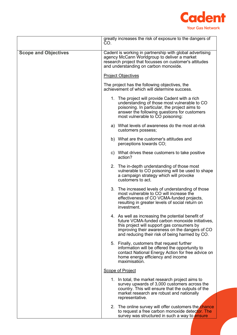

|                             | greatly increases the risk of exposure to the dangers of<br>CO.                                                                                                                                                                                        |  |
|-----------------------------|--------------------------------------------------------------------------------------------------------------------------------------------------------------------------------------------------------------------------------------------------------|--|
| <b>Scope and Objectives</b> | Cadent is working in partnership with global advertising<br>agency McCann Worldgroup to deliver a market<br>research project that focusses on customer's attitudes<br>and understanding on carbon monoxide.<br><b>Project Objectives</b>               |  |
|                             |                                                                                                                                                                                                                                                        |  |
|                             | The project has the following objectives, the<br>achievement of which will determine success.                                                                                                                                                          |  |
|                             | 1. The project will provide Cadent with a rich<br>understanding of those most vulnerable to CO<br>poisoning. In particular, the project aims to<br>answer the following questions for customers<br>most vulnerable to CO poisoning:                    |  |
|                             | a) What levels of awareness do the most at-risk<br>customers possess;                                                                                                                                                                                  |  |
|                             | b) What are the customer's attitudes and<br>perceptions towards CO;                                                                                                                                                                                    |  |
|                             | c) What drives these customers to take positive<br>action?                                                                                                                                                                                             |  |
|                             | 2. The in-depth understanding of those most<br>vulnerable to CO poisoning will be used to shape<br>a campaign strategy which will provoke<br>customers to act.                                                                                         |  |
|                             | 3. The increased levels of understanding of those<br>most vulnerable to CO will increase the<br>effectiveness of CO VCMA-funded projects,<br>resulting in greater levels of social return on<br>investment.                                            |  |
|                             | 4. As well as increasing the potential benefit of<br>future VCMA-funded carbon monoxide initiatives.<br>this project will support gas consumers by<br>improving their awareness on the dangers of CO<br>and reducing their risk of being harmed by CO. |  |
|                             | 5. Finally, customers that request further<br>information will be offered the opportunity to<br>contact National Energy Action for free advice on<br>home energy efficiency and income<br>maximisation.                                                |  |
|                             | <b>Scope of Project</b>                                                                                                                                                                                                                                |  |
|                             | 1. In total, the market research project aims to<br>survey upwards of 3,000 customers across the<br>country. This will ensure that the outputs of the<br>market research are robust and nationally<br>representative.                                  |  |
|                             | 2. The online survey will offer customers the chance<br>to request a free carbon monoxide detector. The<br>survey was structured in such a way to ensure                                                                                               |  |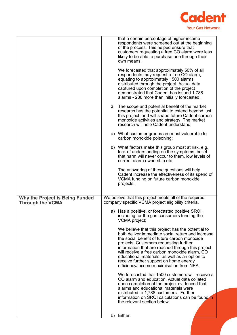

|                                                                   |    | that a certain percentage of higher income<br>respondents were screened out at the beginning<br>of the process. This helped ensure that<br>customers requesting a free CO alarm were less<br>likely to be able to purchase one through their<br>own means.                                                                                                                                                                                     |
|-------------------------------------------------------------------|----|------------------------------------------------------------------------------------------------------------------------------------------------------------------------------------------------------------------------------------------------------------------------------------------------------------------------------------------------------------------------------------------------------------------------------------------------|
|                                                                   |    | We forecasted that approximately 50% of all<br>respondents may request a free CO alarm,<br>equating to approximately 1500 alarms<br>distributed through the project. Actual data<br>captured upon completion of the project<br>demonstrated that Cadent has issued 1,788<br>alarms - 288 more than initially forecasted.                                                                                                                       |
|                                                                   |    | 3. The scope and potential benefit of the market<br>research has the potential to extend beyond just<br>this project; and will shape future Cadent carbon<br>monoxide activities and strategy. The market<br>research will help Cadent understand:                                                                                                                                                                                             |
|                                                                   |    | a) What customer groups are most vulnerable to<br>carbon monoxide poisoning;                                                                                                                                                                                                                                                                                                                                                                   |
|                                                                   |    | b) What factors make this group most at risk, e.g.<br>lack of understanding on the symptoms, belief<br>that harm will never occur to them, low levels of<br>current alarm ownership etc.                                                                                                                                                                                                                                                       |
|                                                                   |    | The answering of these questions will help<br>Cadent increase the effectiveness of its spend of<br>VCMA funding on future carbon monoxide<br>projects.                                                                                                                                                                                                                                                                                         |
| <b>Why the Project is Being Funded</b><br><b>Through the VCMA</b> |    | We believe that this project meets all of the required<br>company specific VCMA project eligibility criteria.                                                                                                                                                                                                                                                                                                                                  |
|                                                                   |    | a) Has a positive, or forecasted positive SROI,<br>including for the gas consumers funding the<br>VCMA project;                                                                                                                                                                                                                                                                                                                                |
|                                                                   |    | We believe that this project has the potential to<br>both deliver immediate social return and increase<br>the social benefit of future carbon monoxide<br>projects. Customers requesting further<br>information that are reached through this project<br>will receive a free carbon monoxide alarm, CO<br>educational materials, as well as an option to<br>receive further support on home energy<br>efficiency/income maximisation from NEA. |
|                                                                   |    | We forecasted that 1500 customers will receive a<br>CO alarm and education. Actual data collated<br>upon completion of the project evidenced that<br>alarms and educational materials were<br>distributed to 1,788 customers. Further<br>information on SROI calculations can be found in                                                                                                                                                      |
|                                                                   |    | the relevant section below.                                                                                                                                                                                                                                                                                                                                                                                                                    |
|                                                                   | b) | Either:                                                                                                                                                                                                                                                                                                                                                                                                                                        |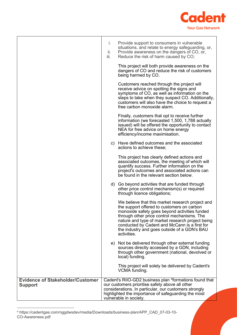

|                                                           | i.<br>ii.<br>iii. | Provide support to consumers in vulnerable<br>situations, and relate to energy safeguarding, or,<br>Provide awareness on the dangers of CO, or,<br>Reduce the risk of harm caused by CO;                                                                                                                                                                           |
|-----------------------------------------------------------|-------------------|--------------------------------------------------------------------------------------------------------------------------------------------------------------------------------------------------------------------------------------------------------------------------------------------------------------------------------------------------------------------|
|                                                           |                   | This project will both provide awareness on the<br>dangers of CO and reduce the risk of customers<br>being harmed by CO.                                                                                                                                                                                                                                           |
|                                                           |                   | Customers reached through the project will<br>receive advice on spotting the signs and<br>symptoms of CO, as well as information on the<br>steps to take when they suspect CO. Additionally,<br>customers will also have the choice to request a<br>free carbon monoxide alarm.                                                                                    |
|                                                           |                   | Finally, customers that opt to receive further<br>information (we forecasted 1,500, 1,788 actually<br>issued) will be offered the opportunity to contact<br>NEA for free advice on home energy<br>efficiency/income maximisation.                                                                                                                                  |
|                                                           |                   | c) Have defined outcomes and the associated<br>actions to achieve these;                                                                                                                                                                                                                                                                                           |
|                                                           |                   | This project has clearly defined actions and<br>associated outcomes, the meeting of which will<br>quantify success. Further information on the<br>project's outcomes and associated actions can<br>be found in the relevant section below.                                                                                                                         |
|                                                           |                   | d) Go beyond activities that are funded through<br>other price control mechanism(s) or required<br>through licence obligations;                                                                                                                                                                                                                                    |
|                                                           |                   | We believe that this market research project and<br>the support offered to customers on carbon<br>monoxide safety goes beyond activities funded<br>through other price control mechanisms. The<br>nature and type of market research project being<br>conducted by Cadent and McCann is a first for<br>the industry and goes outside of a GDN's BAU<br>activities. |
|                                                           |                   | e) Not be delivered through other external funding<br>sources directly accessed by a GDN, including<br>through other government (national, devolved or<br>local) funding.                                                                                                                                                                                          |
|                                                           |                   | This project will solely be delivered by Cadent's<br>VCMA funding.                                                                                                                                                                                                                                                                                                 |
| <b>Evidence of Stakeholder/Customer</b><br><b>Support</b> |                   | Cadent's RIIO-GD2 business plan <sup>4</sup> formations found that<br>our customers prioritise safety above all other<br>considerations. In particular, our customers strongly<br>highlighted the importance of safeguarding the most<br>vulnerable in society.                                                                                                    |

<span id="page-6-0"></span><sup>4</sup> https://cadentgas.com/nggdwsdev/media/Downloads/business-plan/APP\_CAD\_07-03-10- CO-Awareness.pdf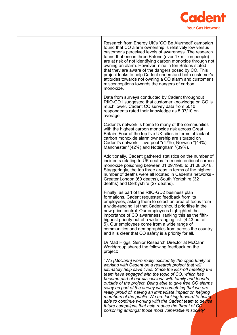

Research from Energy UK's 'CO Be Alarmed!' campaign found that CO alarm ownership is relatively low versus customer's perceived levels of awareness. The research found that one in three Britons (over 17 million people) are at risk of not identifying carbon monoxide through not owning an alarm. However, nine in ten Britons stated that they are aware of the dangers posed by CO. This project looks to help Cadent understand both customer's attitudes towards not owning a CO alarm and customer's misconceptions towards the dangers of carbon monoxide. Data from surveys conducted by Cadent throughout RIIO-GD1 suggested that customer knowledge on CO is much lower. Cadent CO survey data from 5010 respondents rated their knowledge as 5.07/10 on average. Cadent's network is home to many of the communities with the highest carbon monoxide risk across Great Britain. Four of the top five UK cities in terms of lack of carbon monoxide alarm ownership are situated on Cadent's network - Liverpool \*(47%), Norwich \*(44%), Manchester \*(42%) and Nottingham \*(39%). Additionally, Cadent gathered statistics on the number of incidents relating to UK deaths from unintentional carbon monoxide poisoning between 01.09.1995 to 31.08.2018. Staggeringly, the top three areas in terms of the highest number of deaths were all located in Cadent's networks - Greater London (60 deaths), South Yorkshire (32 deaths) and Derbyshire (27 deaths). Finally, as part of the RIIO-GD2 business plan formations, Cadent requested feedback from its employees, asking them to select an area of focus from a wide-ranging list that Cadent should prioritise in the new price control. Our employees highlighted the importance of CO awareness, ranking this as the fifthhighest priority out of a wide-ranging list. (4.43 out of 5). Our employees come from a wide range of communities and demographics from across the country, and it is clear that CO safety is a priority for all. Dr Matt Higgs, Senior Research Director at McCann Worldgroup shared the following feedback on the project: "*We [McCann] were really excited by the opportunity of working with Cadent on a research project that will ultimately help save lives. Since the kick-off meeting the team have engaged with the topic of CO, which has become part of our discussions with family and friends, outside of the project. Being able to give free CO alarms away as part of the survey was something that we are really proud of, having an immediate impact on helping members of the public. We are looking forward to being able to continue working with the Cadent team to devise future campaigns that help reduce the threat of CO poisoning amongst those most vulnerable in society*"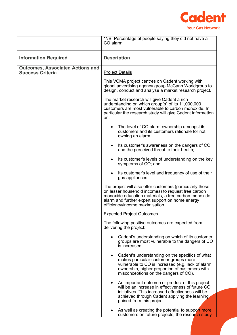

|                                                                    | *NB: Percentage of people saying they did not have a<br>CO alarm                                                                                                                                                                                               |  |
|--------------------------------------------------------------------|----------------------------------------------------------------------------------------------------------------------------------------------------------------------------------------------------------------------------------------------------------------|--|
| <b>Information Required</b>                                        | <b>Description</b>                                                                                                                                                                                                                                             |  |
| <b>Outcomes, Associated Actions and</b><br><b>Success Criteria</b> | <b>Project Details</b>                                                                                                                                                                                                                                         |  |
|                                                                    | This VCMA project centres on Cadent working with<br>global advertising agency group McCann Worldgroup to<br>design, conduct and analyse a market research project.                                                                                             |  |
|                                                                    | The market research will give Cadent a rich<br>understanding on which group(s) of its 11,000,000<br>customers are most vulnerable to carbon monoxide. In<br>particular the research study will give Cadent information<br>on:                                  |  |
|                                                                    | The level of CO alarm ownership amongst its<br>$\bullet$<br>customers and its customers rationale for not<br>owning an alarm.                                                                                                                                  |  |
|                                                                    | Its customer's awareness on the dangers of CO<br>$\bullet$<br>and the perceived threat to their health;                                                                                                                                                        |  |
|                                                                    | Its customer's levels of understanding on the key<br>$\bullet$<br>symptoms of CO; and;                                                                                                                                                                         |  |
|                                                                    | Its customer's level and frequency of use of their<br>gas appliances.                                                                                                                                                                                          |  |
|                                                                    | The project will also offer customers (particularly those<br>on lesser household incomes) to request free carbon<br>monoxide education materials, a free carbon monoxide<br>alarm and further expert support on home energy<br>efficiency/income maximisation. |  |
|                                                                    | <b>Expected Project Outcomes</b>                                                                                                                                                                                                                               |  |
|                                                                    | The following positive outcomes are expected from<br>delivering the project:                                                                                                                                                                                   |  |
|                                                                    | Cadent's understanding on which of its customer<br>groups are most vulnerable to the dangers of CO<br>is increased.                                                                                                                                            |  |
|                                                                    | Cadent's understanding on the specifics of what<br>$\bullet$<br>makes particular customer groups more<br>vulnerable to CO is increased (e.g. lack of alarm<br>ownership, higher proportion of customers with<br>misconceptions on the dangers of CO).          |  |
|                                                                    | An important outcome or product of this project<br>$\bullet$<br>will be an increase in effectiveness of future CO<br>initiatives. This increased effectiveness will be<br>achieved through Cadent applying the learning<br>gained from this project.           |  |
|                                                                    | As well as creating the potential to support more<br>customers on future projects, the research study                                                                                                                                                          |  |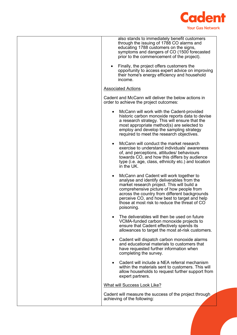

| also stands to immediately benefit customers<br>through the issuing of 1788 CO alarms and<br>educating 1788 customers on the signs,<br>symptoms and dangers of CO (1500 forecasted<br>prior to the commencement of the project).                                                                                                                             |
|--------------------------------------------------------------------------------------------------------------------------------------------------------------------------------------------------------------------------------------------------------------------------------------------------------------------------------------------------------------|
| Finally, the project offers customers the<br>opportunity to access expert advice on improving<br>their home's energy efficiency and household<br>income.                                                                                                                                                                                                     |
| <b>Associated Actions</b>                                                                                                                                                                                                                                                                                                                                    |
| Cadent and McCann will deliver the below actions in<br>order to achieve the project outcomes:                                                                                                                                                                                                                                                                |
| McCann will work with the Cadent-provided<br>٠<br>historic carbon monoxide reports data to devise<br>a research strategy. This will ensure that the<br>most appropriate method(s) are selected to<br>employ and develop the sampling strategy<br>required to meet the research objectives.                                                                   |
| McCann will conduct the market research<br>$\bullet$<br>exercise to understand individuals' awareness<br>of, and perceptions, attitudes/ behaviours<br>towards CO, and how this differs by audience<br>type (i.e. age, class, ethnicity etc.) and location<br>in the UK.                                                                                     |
| McCann and Cadent will work together to<br>$\bullet$<br>analyse and identify deliverables from the<br>market research project. This will build a<br>comprehensive picture of how people from<br>across the country from different backgrounds<br>perceive CO, and how best to target and help<br>those at most risk to reduce the threat of CO<br>poisoning. |
| The deliverables will then be used on future<br>$\bullet$<br>VCMA-funded carbon monoxide projects to<br>ensure that Cadent effectively spends its<br>allowances to target the most at-risk customers.                                                                                                                                                        |
| • Cadent will dispatch carbon monoxide alarms<br>and educational materials to customers that<br>have requested further information when<br>completing the survey.                                                                                                                                                                                            |
| Cadent will include a NEA referral mechanism<br>$\bullet$<br>within the materials sent to customers. This will<br>allow households to request further support from<br>expert partners.                                                                                                                                                                       |
| <b>What will Success Look Like?</b>                                                                                                                                                                                                                                                                                                                          |
| Cadent will measure the success of the project through<br>achieving of the following:                                                                                                                                                                                                                                                                        |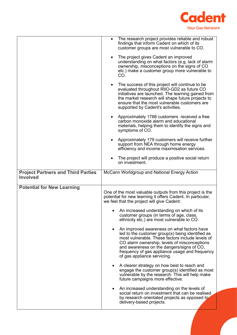

|                                                              | The research project provides reliable and robust<br>findings that inform Cadent on which of its<br>customer groups are most vulnerable to CO.                                                                                                                                                                                                |
|--------------------------------------------------------------|-----------------------------------------------------------------------------------------------------------------------------------------------------------------------------------------------------------------------------------------------------------------------------------------------------------------------------------------------|
|                                                              | The project gives Cadent an improved<br>$\bullet$<br>understanding on what factors (e.g. lack of alarm<br>ownership, misconceptions on the signs of CO<br>etc.) make a customer group more vulnerable to<br>CO.                                                                                                                               |
|                                                              | The success of this project will continue to be<br>$\bullet$<br>evaluated throughout RIIO-GD2 as future CO<br>initiatives are launched. The learning gained from<br>the market research will shape future projects to<br>ensure that the most vulnerable customers are<br>supported by Cadent's activities.                                   |
|                                                              | Approximately 1788 customers received a free<br>carbon monoxide alarm and educational<br>materials, helping them to identify the signs and<br>symptoms of CO.                                                                                                                                                                                 |
|                                                              | Approximately 179 customers will receive further<br>support from NEA through home energy<br>efficiency and income maximisation services.                                                                                                                                                                                                      |
|                                                              | The project will produce a positive social return<br>on investment.                                                                                                                                                                                                                                                                           |
| <b>Project Partners and Third Parties</b><br><b>Involved</b> | McCann Worldgroup and National Energy Action                                                                                                                                                                                                                                                                                                  |
| <b>Potential for New Learning</b>                            |                                                                                                                                                                                                                                                                                                                                               |
|                                                              | One of the most valuable outputs from this project is the<br>potential for new learning it offers Cadent. In particular,<br>we feel that the project will give Cadent:                                                                                                                                                                        |
|                                                              | An increased understanding on which of its<br>customer groups (in terms of age, class,<br>ethnicity etc.) are most vulnerable to CO.                                                                                                                                                                                                          |
|                                                              | An improved awareness on what factors have<br>$\bullet$<br>led to the customer group(s) being identified as<br>most vulnerable. These factors include levels of<br>CO alarm ownership, levels of misconceptions<br>and awareness on the dangers/signs of CO,<br>frequency of gas appliance usage and frequency<br>of gas appliance servicing. |
|                                                              | A clearer strategy on how best to reach and<br>engage the customer group(s) identified as most<br>vulnerable by the research. This will help make<br>future campaigns more effective.                                                                                                                                                         |
|                                                              | An increased understanding on the levels of<br>social return on investment that can be realised<br>by research orientated projects as opposed to<br>delivery-based projects.                                                                                                                                                                  |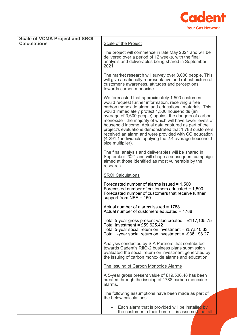

| <b>Scale of VCMA Project and SROI</b><br><b>Calculations</b> | Scale of the Project                                                                                                                                                                                                                                                                                                                                                                                                                                                                                                                                                                                    |
|--------------------------------------------------------------|---------------------------------------------------------------------------------------------------------------------------------------------------------------------------------------------------------------------------------------------------------------------------------------------------------------------------------------------------------------------------------------------------------------------------------------------------------------------------------------------------------------------------------------------------------------------------------------------------------|
|                                                              | The project will commence in late May 2021 and will be<br>delivered over a period of 12 weeks, with the final<br>analysis and deliverables being shared in September<br>2021.                                                                                                                                                                                                                                                                                                                                                                                                                           |
|                                                              | The market research will survey over 3,000 people. This<br>will give a nationally representative and robust picture of<br>customer's awareness, attitudes and perceptions<br>towards carbon monoxide.                                                                                                                                                                                                                                                                                                                                                                                                   |
|                                                              | We forecasted that approximately 1,500 customers<br>would request further information, receiving a free<br>carbon monoxide alarm and educational materials. This<br>would immediately protect 1,500 households (an<br>average of 3,600 people) against the dangers of carbon<br>monoxide - the majority of which will have lower levels of<br>household income. Actual data captured as part of the<br>project's evaluations demonstrated that 1,788 customers<br>received an alarm and were provided with CO education<br>(4,291.1 individuals applying the 2.4 average household<br>size multiplier). |
|                                                              | The final analysis and deliverables will be shared in<br>September 2021 and will shape a subsequent campaign<br>aimed at those identified as most vulnerable by the<br>research.                                                                                                                                                                                                                                                                                                                                                                                                                        |
|                                                              | <b>SROI Calculations</b>                                                                                                                                                                                                                                                                                                                                                                                                                                                                                                                                                                                |
|                                                              | Forecasted number of alarms issued $= 1,500$<br>Forecasted number of customers educated = $1,500$<br>Forecasted number of customers that receive further<br>support from $NEA = 150$                                                                                                                                                                                                                                                                                                                                                                                                                    |
|                                                              | Actual number of alarms issued = 1788<br>Actual number of customers educated = 1788                                                                                                                                                                                                                                                                                                                                                                                                                                                                                                                     |
|                                                              | Total 5-year gross present value created = £117,135.75<br>Total Investment = £59,625.42<br>Total 5-year social return on investment = £57,510.33<br>Total 1-year social return on investment = -£36,198.27                                                                                                                                                                                                                                                                                                                                                                                              |
|                                                              | Analysis conducted by SIA Partners that contributed<br>towards Cadent's RIIO-2 business plans submission<br>evaluated the social return on investment generated by<br>the issuing of carbon monoxide alarms and education.                                                                                                                                                                                                                                                                                                                                                                              |
|                                                              | The Issuing of Carbon Monoxide Alarms                                                                                                                                                                                                                                                                                                                                                                                                                                                                                                                                                                   |
|                                                              | A 5-year gross present value of £19,506.48 has been<br>created through the issuing of 1788 carbon monoxide<br>alarms.                                                                                                                                                                                                                                                                                                                                                                                                                                                                                   |
|                                                              | The following assumptions have been made as part of<br>the below calculations:                                                                                                                                                                                                                                                                                                                                                                                                                                                                                                                          |
|                                                              | Each alarm that is provided will be installed by<br>the customer in their home. It is assumed that all                                                                                                                                                                                                                                                                                                                                                                                                                                                                                                  |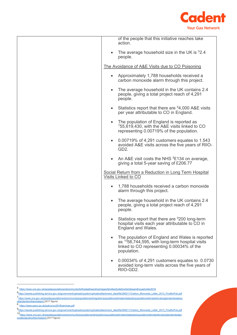

|           | of the people that this initiative reaches take<br>action.                                                                                                                 |
|-----------|----------------------------------------------------------------------------------------------------------------------------------------------------------------------------|
| $\bullet$ | The average household size in the UK is $52.4$<br>people.                                                                                                                  |
|           | The Avoidance of A&E Visits due to CO Poisoning                                                                                                                            |
| $\bullet$ | Approximately 1,788 households received a<br>carbon monoxide alarm through this project.                                                                                   |
| $\bullet$ | The average household in the UK contains 2.4<br>people, giving a total project reach of 4,291<br>people.                                                                   |
| $\bullet$ | Statistics report that there are <sup>6</sup> 4,000 A&E visits<br>per year attributable to CO in England.                                                                  |
| $\bullet$ | The population of England is reported as<br>$755,619,430$ , with the A&E visits linked to CO<br>representing 0.00719% of the population.                                   |
| $\bullet$ | 0.00719% of 4,291 customers equates to 1.543<br>avoided A&E visits across the five years of RIIO-<br>GD <sub>2</sub> .                                                     |
| $\bullet$ | An A&E visit costs the NHS <sup>8</sup> £134 on average,<br>giving a total 5-year saving of £206.77                                                                        |
|           | Social Return from a Reduction in Long Term Hospital<br>Visits Linked to CO                                                                                                |
| $\bullet$ | 1,788 households received a carbon monoxide<br>alarm through this project.                                                                                                 |
| $\bullet$ | The average household in the UK contains 2.4<br>people, giving a total project reach of 4,291<br>people.                                                                   |
|           | Statistics report that there are <sup>9</sup> 200 long-term<br>hospital visits each year attributable to CO in<br>England and Wales.                                       |
| $\bullet$ | The population of England and Wales is reported<br>as <sup>10</sup> 58,744,595, with long-term hospital visits<br>linked to CO representing 0.00034% of the<br>population. |
| $\bullet$ | 0.00034% of 4,291 customers equates to 0.0730<br>avoided long-term visits across the five years of<br>RIIO-GD2.                                                            |
|           |                                                                                                                                                                            |

<span id="page-12-0"></span><sup>5</sup> <https://www.ons.gov.uk/peoplepopulationandcommunity/birthsdeathsandmarriages/families/bulletins/familiesandhouseholds/2016>

<span id="page-12-5"></span>10<sub>https://www.ons.gov.uk/peoplepopulationandcommunity/populationandmigration/populationestimates/datasets/populationestimatesforukenglandandwales<br>[scotlandandnorthernireland](https://www.ons.gov.uk/peoplepopulationandcommunity/populationandmigration/populationestimates/datasets/populationestimatesforukenglandandwalesscotlandandnorthernireland) (2017 figure)</sub>

<span id="page-12-1"></span>[<sup>6</sup>https://assets.publishing.service.gov.uk/government/uploads/system/uploads/attachment\\_data/file/260211/Carbon\\_Monoxide\\_Letter\\_2013\\_FinalforPub.pdf](https://assets.publishing.service.gov.uk/government/uploads/system/uploads/attachment_data/file/260211/Carbon_Monoxide_Letter_2013_FinalforPub.pdf)

<span id="page-12-2"></span>[<sup>7</sup>https://www.ons.gov.uk/peoplepopulationandcommunity/populationandmigration/populationestimates/datasets/populationestimatesforukenglandandwalessc](https://www.ons.gov.uk/peoplepopulationandcommunity/populationandmigration/populationestimates/datasets/populationestimatesforukenglandandwalesscotlandandnorthernireland)

<span id="page-12-3"></span>[otlandandnorthernireland](https://www.ons.gov.uk/peoplepopulationandcommunity/populationandmigration/populationestimates/datasets/populationestimatesforukenglandandwalesscotlandandnorthernireland)\_(2017 figure)<br>8 <u><https://www.pssru.ac.uk/pub/uc/uc2018/services.pdf></u>

<span id="page-12-4"></span>[<sup>9</sup>https://assets.publishing.service.gov.uk/government/uploads/system/uploads/attachment\\_data/file/260211/Carbon\\_Monoxide\\_Letter\\_2013\\_FinalforPub.pdf](https://assets.publishing.service.gov.uk/government/uploads/system/uploads/attachment_data/file/260211/Carbon_Monoxide_Letter_2013_FinalforPub.pdf)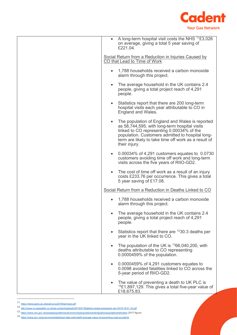

|           | • A long-term hospital visit costs the NHS $\frac{1}{11}$ £3,026<br>on average, giving a total 5 year saving of<br>£221.04.                                                                                                                                                |
|-----------|----------------------------------------------------------------------------------------------------------------------------------------------------------------------------------------------------------------------------------------------------------------------------|
|           | Social Return from a Reduction in Injuries Caused by<br>CO that Lead to Time of Work                                                                                                                                                                                       |
|           | 1,788 households received a carbon monoxide<br>alarm through this project.                                                                                                                                                                                                 |
| $\bullet$ | The average household in the UK contains 2.4<br>people, giving a total project reach of 4,291<br>people.                                                                                                                                                                   |
| $\bullet$ | Statistics report that there are 200 long-term<br>hospital visits each year attributable to CO in<br>England and Wales.                                                                                                                                                    |
| $\bullet$ | The population of England and Wales is reported<br>as 58,744,595, with long-term hospital visits<br>linked to CO representing 0.00034% of the<br>population. Customers admitted to hospital long-<br>term are likely to take time off work as a result of<br>their injury. |
| $\bullet$ | 0.00034% of 4,291 customers equates to 0.0730<br>customers avoiding time off work and long-term<br>visits across the five years of RIIO-GD2.                                                                                                                               |
| $\bullet$ | The cost of time off work as a result of an injury<br>costs £233.76 per occurrence. This gives a total<br>5 year saving of £17.08.                                                                                                                                         |
|           | Social Return from a Reduction in Deaths Linked to CO                                                                                                                                                                                                                      |
|           | 1,788 households received a carbon monoxide<br>alarm through this project.                                                                                                                                                                                                 |
|           | The average household in the UK contains 2.4<br>people, giving a total project reach of 4,291<br>people.                                                                                                                                                                   |
| $\bullet$ | Statistics report that there are $1230.3$ deaths per<br>year in the UK linked to CO.                                                                                                                                                                                       |
| $\bullet$ | The population of the UK is $^{13}66,040,200$ , with<br>deaths attributable to CO representing<br>0.0000459% of the population.                                                                                                                                            |
| $\bullet$ | 0.0000459% of 4,291 customers equates to<br>0.0098 avoided fatalities linked to CO across the<br>5-year period of RIIO-GD2.                                                                                                                                                |
| $\bullet$ | The value of preventing a death to UK PLC is<br>$^{14}$ £1,897,129. This gives a total five-year value of<br>£18,675.83.                                                                                                                                                   |

<sup>11</sup> <https://www.pssru.ac.uk/pub/uc/uc2018/services.pdf>

<span id="page-13-1"></span><span id="page-13-0"></span><sup>12</sup> <http://www.co-gassafety.co.uk/wp-content/uploads/2019/01/Statistics-sheet-presspack-Jan-2019-18.01.19.pdf>

<sup>13</sup> <https://www.ons.gov.uk/peoplepopulationandcommunity/populationandmigration/populationestimates> (2017 figure)

<span id="page-13-3"></span><span id="page-13-2"></span><sup>14</sup> <https://www.gov.uk/government/statistical-data-sets/ras60-average-value-of-preventing-road-accidents>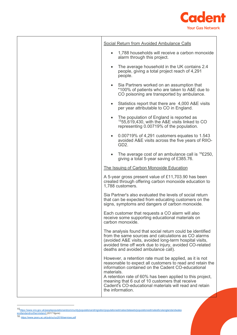

| Social Return from Avoided Ambulance Calls                                                                                                                                                                                                                                                                                                                                             |
|----------------------------------------------------------------------------------------------------------------------------------------------------------------------------------------------------------------------------------------------------------------------------------------------------------------------------------------------------------------------------------------|
| 1,788 households will receive a carbon monoxide<br>alarm through this project.                                                                                                                                                                                                                                                                                                         |
| The average household in the UK contains 2.4<br>$\bullet$<br>people, giving a total project reach of 4,291<br>people.                                                                                                                                                                                                                                                                  |
| Sia Partners worked on an assumption that<br>$\bullet$<br>*100% of patients who are taken to A&E due to<br>CO poisoning are transported by ambulance.                                                                                                                                                                                                                                  |
| Statistics report that there are 4,000 A&E visits<br>$\bullet$<br>per year attributable to CO in England.                                                                                                                                                                                                                                                                              |
| The population of England is reported as<br>$1555,619,430$ , with the A&E visits linked to CO<br>representing 0.00719% of the population.                                                                                                                                                                                                                                              |
| 0.00719% of 4,291 customers equates to 1.543<br>$\bullet$<br>avoided A&E visits across the five years of RIIO-<br>GD <sub>2</sub> .                                                                                                                                                                                                                                                    |
| The average cost of an ambulance call is ${}^{16}E250$ ,<br>giving a total 5-year saving of £385.76.                                                                                                                                                                                                                                                                                   |
| The Issuing of Carbon Monoxide Education                                                                                                                                                                                                                                                                                                                                               |
| A 5-year gross present value of £11,703.90 has been<br>created through offering carbon monoxide education to<br>1,788 customers.                                                                                                                                                                                                                                                       |
| Sia Partner's also evaluated the levels of social return<br>that can be expected from educating customers on the<br>signs, symptoms and dangers of carbon monoxide.                                                                                                                                                                                                                    |
| Each customer that requests a CO alarm will also<br>receive some supporting educational materials on<br>carbon monoxide.                                                                                                                                                                                                                                                               |
| The analysis found that social return could be identified<br>from the same sources and calculations as CO alarms<br>(avoided A&E visits, avoided long-term hospital visits,<br>avoided time off work due to injury, avoided CO-related<br>deaths and avoided ambulance call).                                                                                                          |
| However, a retention rate must be applied, as it is not<br>reasonable to expect all customers to read and retain the<br>information contained on the Cadent CO-educational<br>materials.<br>A retention rate of 60% has been applied to this project,<br>meaning that 6 out of 10 customers that receive<br>Cadent's CO-educational materials will read and retain<br>the information. |

<span id="page-14-1"></span><span id="page-14-0"></span>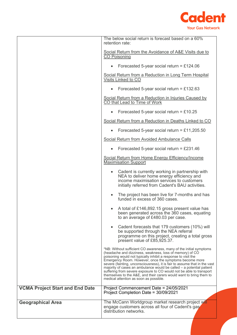

|                                        | The below social return is forecast based on a 60%<br>retention rate:<br>Social Return from the Avoidance of A&E Visits due to<br><b>CO Poisoning</b>                                                                                                                                                                                                                                                                                                                                                                                                                                                  |  |
|----------------------------------------|--------------------------------------------------------------------------------------------------------------------------------------------------------------------------------------------------------------------------------------------------------------------------------------------------------------------------------------------------------------------------------------------------------------------------------------------------------------------------------------------------------------------------------------------------------------------------------------------------------|--|
|                                        |                                                                                                                                                                                                                                                                                                                                                                                                                                                                                                                                                                                                        |  |
|                                        | Forecasted 5-year social return = £124.06                                                                                                                                                                                                                                                                                                                                                                                                                                                                                                                                                              |  |
|                                        | Social Return from a Reduction in Long Term Hospital<br>Visits Linked to CO                                                                                                                                                                                                                                                                                                                                                                                                                                                                                                                            |  |
|                                        | Forecasted 5-year social return = £132.63<br>$\bullet$                                                                                                                                                                                                                                                                                                                                                                                                                                                                                                                                                 |  |
|                                        | Social Return from a Reduction in Injuries Caused by<br>CO that Lead to Time of Work                                                                                                                                                                                                                                                                                                                                                                                                                                                                                                                   |  |
|                                        | Forecasted 5-year social return = £10.25<br>$\bullet$                                                                                                                                                                                                                                                                                                                                                                                                                                                                                                                                                  |  |
|                                        | Social Return from a Reduction in Deaths Linked to CO                                                                                                                                                                                                                                                                                                                                                                                                                                                                                                                                                  |  |
|                                        | Forecasted 5-year social return = £11,205.50<br>$\bullet$                                                                                                                                                                                                                                                                                                                                                                                                                                                                                                                                              |  |
|                                        | Social Return from Avoided Ambulance Calls                                                                                                                                                                                                                                                                                                                                                                                                                                                                                                                                                             |  |
|                                        | Forecasted 5-year social return = £231.46                                                                                                                                                                                                                                                                                                                                                                                                                                                                                                                                                              |  |
|                                        | <b>Social Return from Home Energy Efficiency/Income</b><br><b>Maximisation Support</b>                                                                                                                                                                                                                                                                                                                                                                                                                                                                                                                 |  |
|                                        | Cadent is currently working in partnership with<br>$\bullet$<br>NEA to deliver home energy efficiency and<br>income maximisation services to customers<br>initially referred from Cadent's BAU activities.                                                                                                                                                                                                                                                                                                                                                                                             |  |
|                                        | The project has been live for 7-months and has<br>$\bullet$<br>funded in excess of 360 cases.                                                                                                                                                                                                                                                                                                                                                                                                                                                                                                          |  |
|                                        | A total of £146,892.15 gross present value has<br>$\bullet$<br>been generated across the 360 cases, equating<br>to an average of £480.03 per case.                                                                                                                                                                                                                                                                                                                                                                                                                                                     |  |
|                                        | Cadent forecasts that 179 customers (10%) will<br>$\bullet$<br>be supported through the NEA referral<br>programme on this project, creating a total gross<br>present value of £85,925.37.                                                                                                                                                                                                                                                                                                                                                                                                              |  |
|                                        | *NB: Without sufficient CO awareness, many of the initial symptoms<br>(headache and dizziness, weakness, loss of memory) of CO<br>poisoning would not typically inhibit a response to visit the<br>Emergency Room. However, once the symptoms become more<br>severe (fainting, unconsciousness), it is fair to assume that in the vast<br>majority of cases an ambulance would be called – a potential patient<br>suffering from severe exposure to CO would not be able to transport<br>themselves to the A&E, and their carers would want to bring them to<br>medical attention as soon as possible. |  |
| <b>VCMA Project Start and End Date</b> | Project Commencement Date = 24/05/2021<br>Project Completion Date = 30/09/2021                                                                                                                                                                                                                                                                                                                                                                                                                                                                                                                         |  |
| <b>Geographical Area</b>               | The McCann Worldgroup market research project will<br>engage customers across all four of Cadent's gas<br>distribution networks.                                                                                                                                                                                                                                                                                                                                                                                                                                                                       |  |
|                                        |                                                                                                                                                                                                                                                                                                                                                                                                                                                                                                                                                                                                        |  |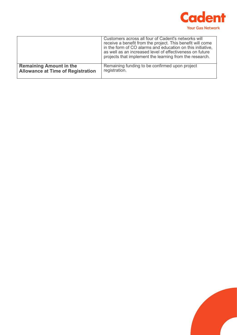

|                                          | Customers across all four of Cadent's networks will<br>receive a benefit from the project. This benefit will come<br>in the form of CO alarms and education on this initiative,<br>as well as an increased level of effectiveness on future<br>projects that implement the learning from the research. |
|------------------------------------------|--------------------------------------------------------------------------------------------------------------------------------------------------------------------------------------------------------------------------------------------------------------------------------------------------------|
| <b>Remaining Amount in the</b>           | Remaining funding to be confirmed upon project                                                                                                                                                                                                                                                         |
| <b>Allowance at Time of Registration</b> | registration.                                                                                                                                                                                                                                                                                          |